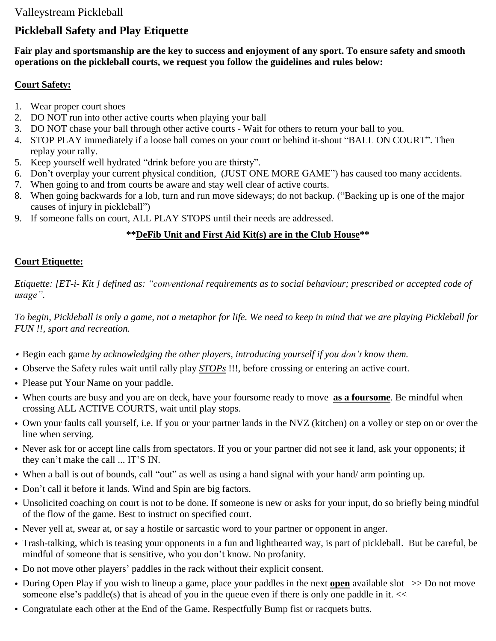## Valleystream Pickleball

# **Pickleball Safety and Play Etiquette**

Fair play and sportsmanship are the key to success and enjoyment of any sport. To ensure safety and smooth **operations on the pickleball courts, we request you follow the guidelines and rules below:**

#### **Court Safety:**

- 1. Wear proper court shoes
- 2. DO NOT run into other active courts when playing your ball
- 3. DO NOT chase your ball through other active courts Wait for others to return your ball to you.
- 4. STOP PLAY immediately if a loose ball comes on your court or behind it-shout "BALL ON COURT". Then replay your rally.
- 5. Keep yourself well hydrated "drink before you are thirsty".
- 6. Don't overplay your current physical condition, (JUST ONE MORE GAME") has caused too many accidents.
- 7. When going to and from courts be aware and stay well clear of active courts.
- 8. When going backwards for a lob, turn and run move sideways; do not backup. ("Backing up is one of the major causes of injury in pickleball")
- 9. If someone falls on court, ALL PLAY STOPS until their needs are addressed.

#### **\*\*DeFib Unit and First Aid Kit(s) are in the Club House\*\***

#### **Court Etiquette:**

Etiquette: [ET-i- Kit] defined as: "conventional requirements as to social behaviour; prescribed or accepted code of *usage".*

To begin, Pickleball is only a game, not a metaphor for life. We need to keep in mind that we are playing Pickleball for *FUN !!, sport and recreation.*

- Begin each gam*e by acknowledging the other players, introducing yourself if you don't know them.*
- Observe the Safety rules wait until rally play *STOPs* !!!, before crossing or entering an active court.
- Please put Your Name on your paddle.
- When courts are busy and you are on deck, have your foursome ready to move **as a foursome**. Be mindful when crossing ALL ACTIVE COURTS, wait until play stops.
- Own your faults call yourself, i.e. If you or your partner lands in the NVZ (kitchen) on a volley or step on or over the line when serving.
- Never ask for or accept line calls from spectators. If you or your partner did not see it land, ask your opponents; if they can't make the call ... IT'S IN.
- When a ball is out of bounds, call "out" as well as using a hand signal with your hand/ arm pointing up.
- Don't call it before it lands. Wind and Spin are big factors.
- Unsolicited coaching on court is not to be done. If someone is new or asks for your input, do so briefly being mindful of the flow of the game. Best to instruct on specified court.
- Never yell at, swear at, or say a hostile or sarcastic word to your partner or opponent in anger.
- Trash-talking, which is teasing your opponents in a fun and lighthearted way, is part of pickleball. But be careful, be mindful of someone that is sensitive, who you don't know. No profanity.
- Do not move other players' paddles in the rack without their explicit consent.
- During Open Play if you wish to lineup a game, place your paddles in the next **open** available slot >> Do not move someone else's paddle(s) that is ahead of you in the queue even if there is only one paddle in it. <<
- Congratulate each other at the End of the Game. Respectfully Bump fist or racquets butts.